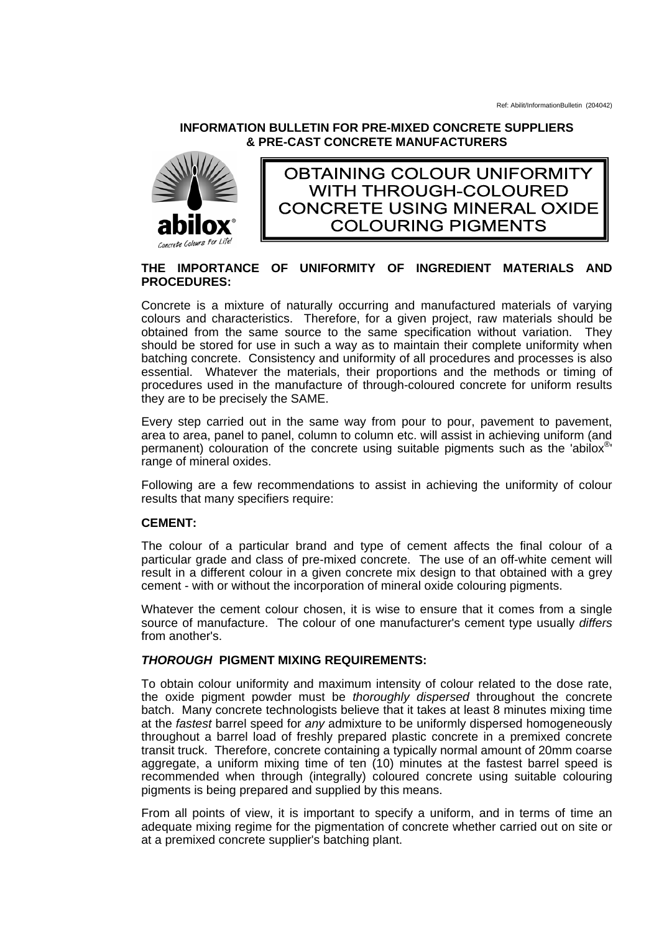### **INFORMATION BULLETIN FOR PRE-MIXED CONCRETE SUPPLIERS & PRE-CAST CONCRETE MANUFACTURERS**



**OBTAINING COLOUR UNIFORMITY WITH THROUGH-COLOURED CONCRETE USING MINERAL OXIDE COLOURING PIGMENTS** 

## **THE IMPORTANCE OF UNIFORMITY OF INGREDIENT MATERIALS AND PROCEDURES:**

Concrete is a mixture of naturally occurring and manufactured materials of varying colours and characteristics. Therefore, for a given project, raw materials should be obtained from the same source to the same specification without variation. They should be stored for use in such a way as to maintain their complete uniformity when batching concrete. Consistency and uniformity of all procedures and processes is also essential. Whatever the materials, their proportions and the methods or timing of procedures used in the manufacture of through-coloured concrete for uniform results they are to be precisely the SAME.

Every step carried out in the same way from pour to pour, pavement to pavement, area to area, panel to panel, column to column etc. will assist in achieving uniform (and permanent) colouration of the concrete using suitable pigments such as the 'abilox®' range of mineral oxides.

Following are a few recommendations to assist in achieving the uniformity of colour results that many specifiers require:

## **CEMENT:**

The colour of a particular brand and type of cement affects the final colour of a particular grade and class of pre-mixed concrete. The use of an off-white cement will result in a different colour in a given concrete mix design to that obtained with a grey cement - with or without the incorporation of mineral oxide colouring pigments.

Whatever the cement colour chosen, it is wise to ensure that it comes from a single source of manufacture. The colour of one manufacturer's cement type usually *differs* from another's.

# *THOROUGH* **PIGMENT MIXING REQUIREMENTS:**

To obtain colour uniformity and maximum intensity of colour related to the dose rate, the oxide pigment powder must be *thoroughly dispersed* throughout the concrete batch. Many concrete technologists believe that it takes at least 8 minutes mixing time at the *fastest* barrel speed for *any* admixture to be uniformly dispersed homogeneously throughout a barrel load of freshly prepared plastic concrete in a premixed concrete transit truck. Therefore, concrete containing a typically normal amount of 20mm coarse aggregate, a uniform mixing time of ten (10) minutes at the fastest barrel speed is recommended when through (integrally) coloured concrete using suitable colouring pigments is being prepared and supplied by this means.

From all points of view, it is important to specify a uniform, and in terms of time an adequate mixing regime for the pigmentation of concrete whether carried out on site or at a premixed concrete supplier's batching plant.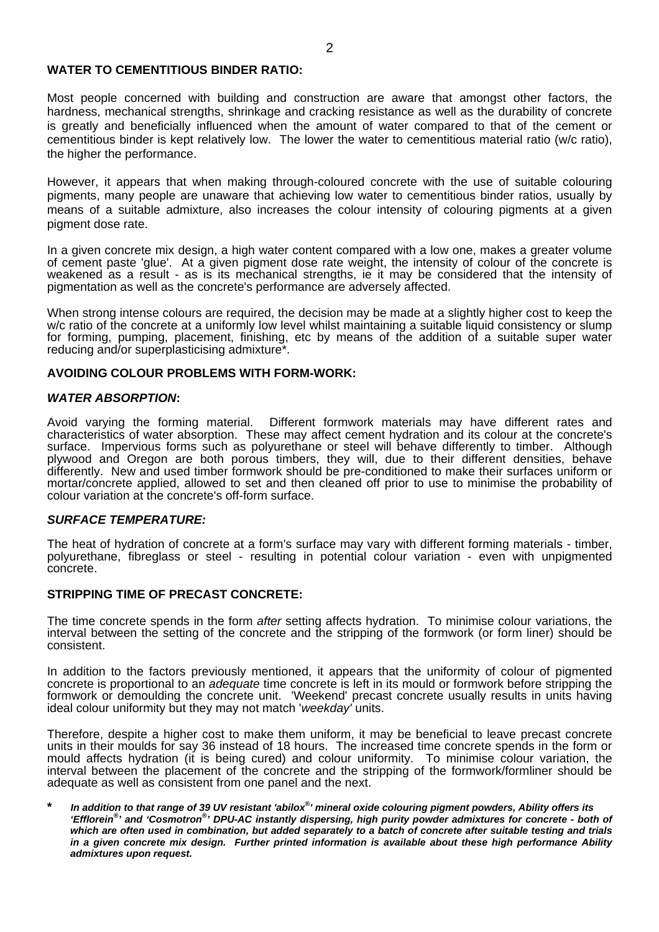### **WATER TO CEMENTITIOUS BINDER RATIO:**

Most people concerned with building and construction are aware that amongst other factors, the hardness, mechanical strengths, shrinkage and cracking resistance as well as the durability of concrete is greatly and beneficially influenced when the amount of water compared to that of the cement or cementitious binder is kept relatively low. The lower the water to cementitious material ratio (w/c ratio), the higher the performance.

However, it appears that when making through-coloured concrete with the use of suitable colouring pigments, many people are unaware that achieving low water to cementitious binder ratios, usually by means of a suitable admixture, also increases the colour intensity of colouring pigments at a given pigment dose rate.

In a given concrete mix design, a high water content compared with a low one, makes a greater volume of cement paste 'glue'. At a given pigment dose rate weight, the intensity of colour of the concrete is weakened as a result - as is its mechanical strengths, ie it may be considered that the intensity of pigmentation as well as the concrete's performance are adversely affected.

When strong intense colours are required, the decision may be made at a slightly higher cost to keep the w/c ratio of the concrete at a uniformly low level whilst maintaining a suitable liquid consistency or slump for forming, pumping, placement, finishing, etc by means of the addition of a suitable super water reducing and/or superplasticising admixture\*.

### **AVOIDING COLOUR PROBLEMS WITH FORM-WORK:**

### *WATER ABSORPTION***:**

Avoid varying the forming material. Different formwork materials may have different rates and characteristics of water absorption. These may affect cement hydration and its colour at the concrete's surface. Impervious forms such as polyurethane or steel will behave differently to timber. Although plywood and Oregon are both porous timbers, they will, due to their different densities, behave differently. New and used timber formwork should be pre-conditioned to make their surfaces uniform or mortar/concrete applied, allowed to set and then cleaned off prior to use to minimise the probability of colour variation at the concrete's off-form surface.

#### *SURFACE TEMPERATURE:*

The heat of hydration of concrete at a form's surface may vary with different forming materials - timber, polyurethane, fibreglass or steel - resulting in potential colour variation - even with unpigmented concrete.

### **STRIPPING TIME OF PRECAST CONCRETE:**

The time concrete spends in the form *after* setting affects hydration. To minimise colour variations, the interval between the setting of the concrete and the stripping of the formwork (or form liner) should be consistent.

In addition to the factors previously mentioned, it appears that the uniformity of colour of pigmented concrete is proportional to an *adequate* time concrete is left in its mould or formwork before stripping the formwork or demoulding the concrete unit. 'Weekend' precast concrete usually results in units having ideal colour uniformity but they may not match '*weekday'* units.

Therefore, despite a higher cost to make them uniform, it may be beneficial to leave precast concrete units in their moulds for say 36 instead of 18 hours. The increased time concrete spends in the form or mould affects hydration (it is being cured) and colour uniformity. To minimise colour variation, the interval between the placement of the concrete and the stripping of the formwork/formliner should be adequate as well as consistent from one panel and the next.

**\*** *In addition to that range of 39 UV resistant 'abilox®' mineral oxide colouring pigment powders, Ability offers its 'Efflorein® ' and 'Cosmotron® ' DPU-AC instantly dispersing, high purity powder admixtures for concrete - both of which are often used in combination, but added separately to a batch of concrete after suitable testing and trials in a given concrete mix design. Further printed information is available about these high performance Ability admixtures upon request.*